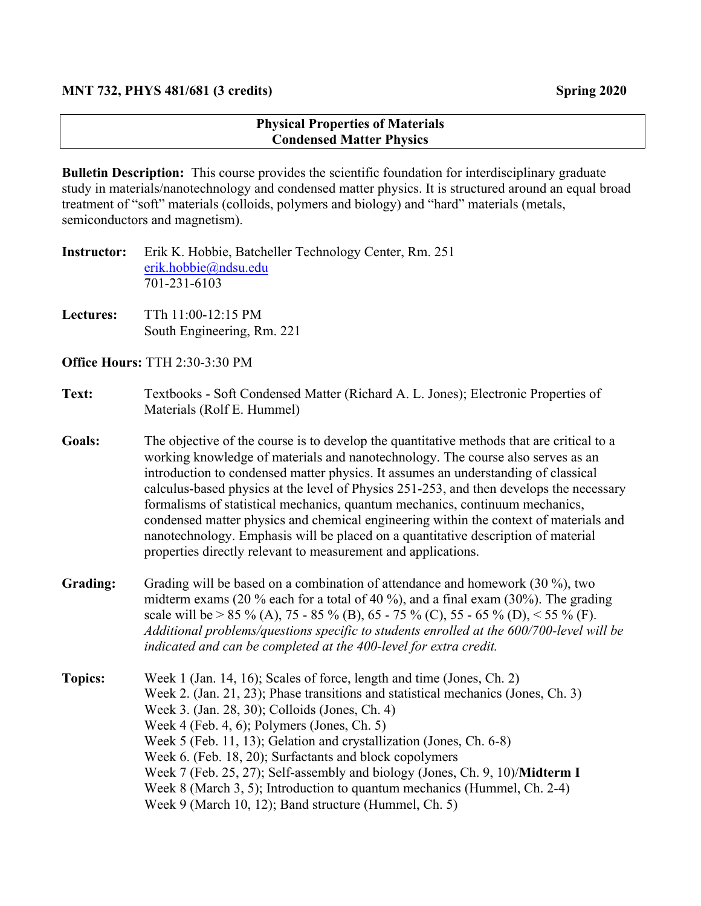## **Physical Properties of Materials Condensed Matter Physics**

**Bulletin Description:** This course provides the scientific foundation for interdisciplinary graduate study in materials/nanotechnology and condensed matter physics. It is structured around an equal broad treatment of "soft" materials (colloids, polymers and biology) and "hard" materials (metals, semiconductors and magnetism).

| <b>Instructor:</b> | Erik K. Hobbie, Batcheller Technology Center, Rm. 251 |
|--------------------|-------------------------------------------------------|
|                    | erik.hobbie@ndsu.edu                                  |
|                    | 701-231-6103                                          |

**Lectures:** TTh 11:00-12:15 PM South Engineering, Rm. 221

**Office Hours:** TTH 2:30-3:30 PM

## **Text:** Textbooks - Soft Condensed Matter (Richard A. L. Jones); Electronic Properties of Materials (Rolf E. Hummel)

- **Goals:** The objective of the course is to develop the quantitative methods that are critical to a working knowledge of materials and nanotechnology. The course also serves as an introduction to condensed matter physics. It assumes an understanding of classical calculus-based physics at the level of Physics 251-253, and then develops the necessary formalisms of statistical mechanics, quantum mechanics, continuum mechanics, condensed matter physics and chemical engineering within the context of materials and nanotechnology. Emphasis will be placed on a quantitative description of material properties directly relevant to measurement and applications.
- **Grading:** Grading will be based on a combination of attendance and homework (30 %), two midterm exams (20 % each for a total of 40 %), and a final exam (30%). The grading scale will be > 85 % (A), 75 - 85 % (B), 65 - 75 % (C), 55 - 65 % (D), < 55 % (F). *Additional problems/questions specific to students enrolled at the 600/700-level will be indicated and can be completed at the 400-level for extra credit.*
- **Topics:** Week 1 (Jan. 14, 16); Scales of force, length and time (Jones, Ch. 2) Week 2. (Jan. 21, 23); Phase transitions and statistical mechanics (Jones, Ch. 3) Week 3. (Jan. 28, 30); Colloids (Jones, Ch. 4) Week 4 (Feb. 4, 6); Polymers (Jones, Ch. 5) Week 5 (Feb. 11, 13); Gelation and crystallization (Jones, Ch. 6-8) Week 6. (Feb. 18, 20); Surfactants and block copolymers Week 7 (Feb. 25, 27); Self-assembly and biology (Jones, Ch. 9, 10)/**Midterm I** Week 8 (March 3, 5); Introduction to quantum mechanics (Hummel, Ch. 2-4) Week 9 (March 10, 12); Band structure (Hummel, Ch. 5)